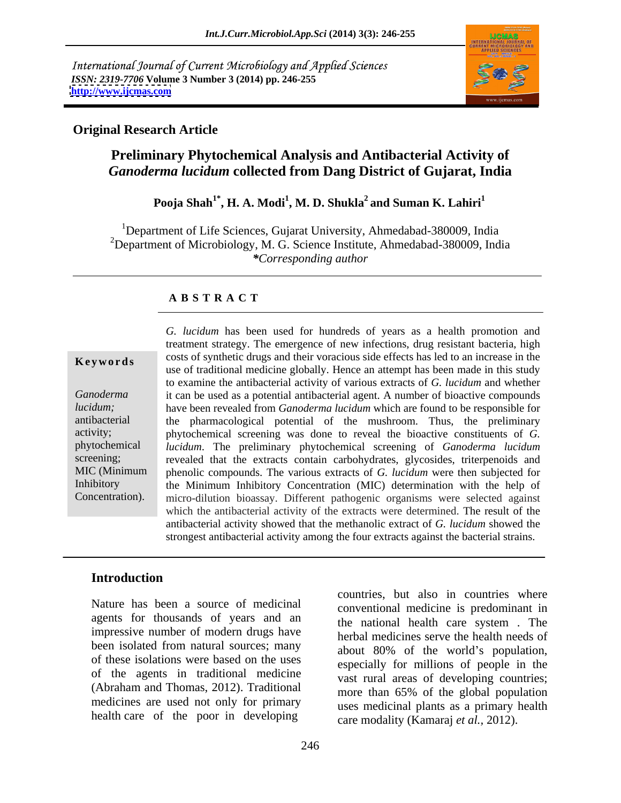International Journal of Current Microbiology and Applied Sciences *ISSN: 2319-7706* **Volume 3 Number 3 (2014) pp. 246-255 <http://www.ijcmas.com>**



### **Original Research Article**

## **Preliminary Phytochemical Analysis and Antibacterial Activity of**  *Ganoderma lucidum* **collected from Dang District of Gujarat, India**

### **Pooja Shah1\* , H. A. Modi<sup>1</sup> , M. D. Shukla2 and Suman K. Lahiri1**

<sup>1</sup>Department of Life Sciences, Gujarat University, Ahmedabad-380009, India <sup>2</sup>Department of Microbiology, M. G. Science Institute, Ahmedabad-380009, India *\*Corresponding author* 

### **A B S T R A C T**

**Keywords** costs of synthetic drugs and their voracious side effects has led to an increase in the *Ganoderma*  it can be used as a potential antibacterial agent. A number of bioactive compounds *lucidum;*  have been revealed from *Ganoderma lucidum* which are found to be responsible for antibacterial the pharmacological potential of the mushroom. Thus, the preliminary activity; phytochemical screening was done to reveal the bioactive constituents of *G.*  phytochemical *lucidum*. The preliminary phytochemical screening of *Ganoderma lucidum* screening; revealed that the extracts contain carbohydrates, glycosides, triterpenoids and MIC (Minimum phenolic compounds. The various extracts of *G. lucidum* were then subjected for Inhibitory the Minimum Inhibitory Concentration (MIC) determination with the help of Concentration). micro-dilution bioassay. Different pathogenic organisms were selected against *G. lucidum* has been used for hundreds of years as a health promotion and treatment strategy. The emergence of new infections, drug resistant bacteria, high use of traditional medicine globally. Hence an attempt has been made in this study to examine the antibacterial activity of various extracts of *G. lucidum* and whether which the antibacterial activity of the extracts were determined. The result of the antibacterial activity showed that the methanolic extract of *G. lucidum* showed the strongest antibacterial activity among the four extracts against the bacterial strains.

### **Introduction**

Nature has been a source of medicinal agents for thousands of years and an impressive number of modern drugs have been isolated from natural sources; many about 80% of the world's population, of these isolations were based on the uses of the agents in traditional medicine (Abraham and Thomas, 2012). Traditional medicines are used not only for primary health care of the poor in developing

countries, but also in countries where conventional medicine is predominant in the national health care system . The herbal medicines serve the health needs of about 80% of the world's population, especially for millions of people in the vast rural areas of developing countries; more than 65% of the global population uses medicinal plants as a primary health care modality (Kamaraj *et al.,* 2012).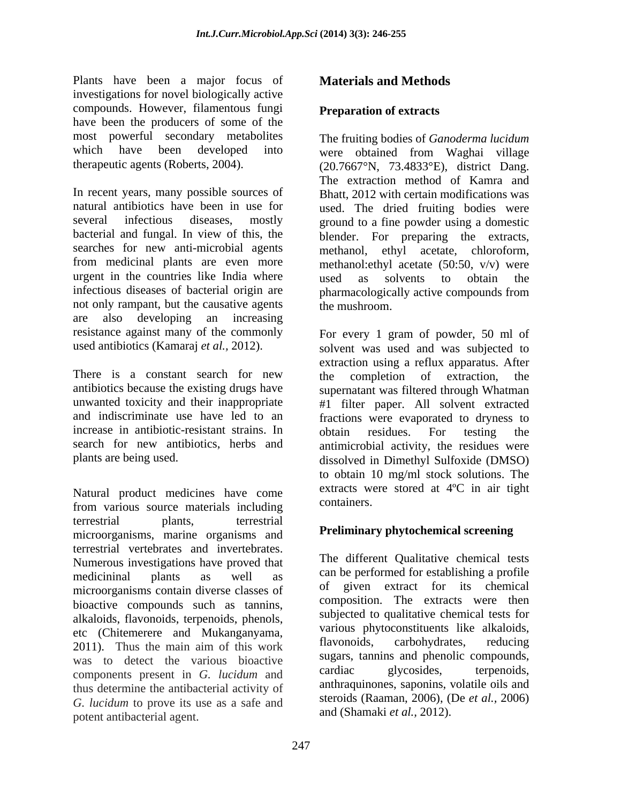Plants have been a major focus of **Materials and Methods** investigations for novel biologically active compounds. However, filamentous fungi have been the producers of some of the most powerful secondary metabolites The fruiting bodies of *Ganoderma lucidum* which have been developed into were obtained from Waghai village

In recent years, many possible sources of natural antibiotics have been in use for used. The dried fruiting bodies were several infectious diseases, mostly ground to a fine powder using a domestic bacterial and fungal. In view of this, the blender. For preparing the extracts, searches for new anti-microbial agents methanol, ethyl acetate, chloroform, from medicinal plants are even more methanol:ethyl acetate (50:50, v/v) were urgent in the countries like India where used as solvents to obtain the infectious diseases of bacterial origin are not only rampant, but the causative agents the mushroom. are also developing an increasing resistance against many of the commonly

There is a constant search for new the completion of extraction, the antibiotics because the existing drugs have supernatant was filtered through Whatman unwanted toxicity and their inappropriate #1 filter paper. All solvent extracted and indiscriminate use have led to an fractions were evaporated to dryness to increase in antibiotic-resistant strains. In obtain residues. For testing the search for new antibiotics, herbs and antimicrobial activity, the residues were

Natural product medicines have come<br>from verious course meterials including containers. from various source materials including terrestrial plants, terrestrial **Replacement of the set of the set of the set of the set of the set of the set of the set of the set of the set of the set of the set of the set of the set of the set of the set of the set o** microorganisms, marine organisms and terrestrial vertebrates and invertebrates. Numerous investigations have proved that medicininal plants as well as can be performed for establishing a profile microorganisms contain diverse classes of bioactive compounds such as tannins, alkaloids, flavonoids, terpenoids, phenols, etc (Chitemerere and Mukanganyama, various phytoconstituents like alkaloids,<br>2011) Thus the main aim of this work flavonoids, carbohydrates, reducing 2011). Thus the main aim of this work was to detect the various bioactive sugars, tanning and phenolic compounds,<br>components present in C lugidum and cardiac glycosides, terpenoids, components present in *G. lucidum* and thus determine the antibacterial activity of *G. lucidum* to prove its use as a safe and potent antibacterial agent.

## **Materials and Methods**

### **Preparation of extracts**

therapeutic agents (Roberts, 2004). (20.7667°N, 73.4833°E), district Dang. were obtained from Waghai village The extraction method of Kamra and Bhatt, 2012 with certain modifications was used as solvents to obtain the pharmacologically active compounds from the mushroom.

used antibiotics (Kamaraj *et al.*, 2012). Solvent was used and was subjected to plants are being used. dissolved in Dimethyl Sulfoxide (DMSO) For every 1 gram of powder, 50 ml of extraction using a reflux apparatus. After the completion of extraction, the obtain residues. For testing the to obtain 10 mg/ml stock solutions. The extracts were stored at 4ºC in air tight containers.

### **Preliminary phytochemical screening**

The different Qualitative chemical tests of given extract for its chemical composition. The extracts were then subjected to qualitative chemical tests for various phytoconstituents like alkaloids, flavonoids, carbohydrates, reducing sugars, tannins and phenolic compounds, cardiac glycosides, terpenoids, anthraquinones, saponins, volatile oils and steroids (Raaman, 2006), (De *et al.,* 2006) and (Shamaki *et al.,* 2012).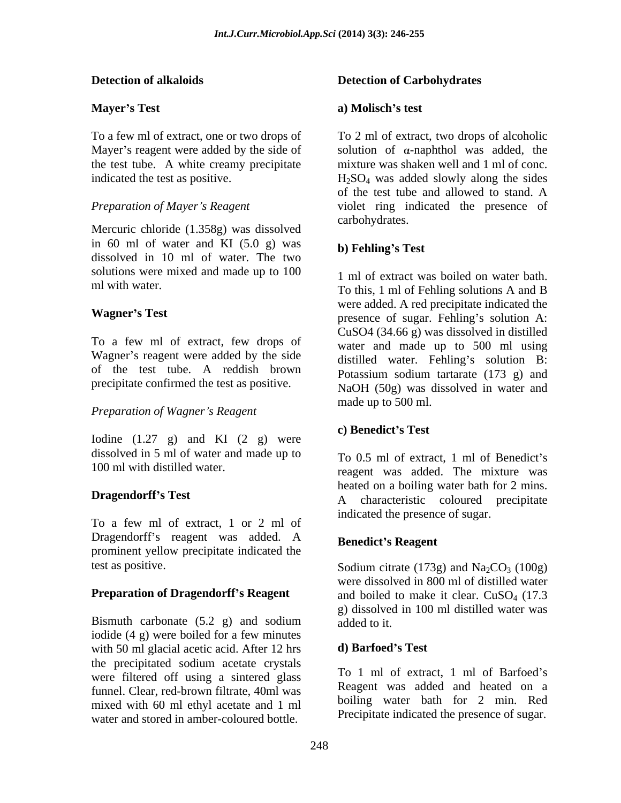Mercuric chloride (1.358g) was dissolved in 60 ml of water and KI  $(5.0 \text{ g})$  was b) Fehling's Test dissolved in 10 ml of water. The two solutions were mixed and made up to 100

To a few ml of extract, few drops of Wagner's reagent were added by the side of the test tube. A reddish brown precipitate confirmed the test as positive.

### *Preparation of Wagner s Reagent*

Iodine  $(1.27 \text{ g})$  and KI  $(2 \text{ g})$  were **c**) **Benedict's Test** dissolved in 5 ml of water and made up to

To a few ml of extract, 1 or 2 ml of Dragendorff's reagent was added. A prominent yellow precipitate indicated the test as positive. Sodium citrate  $(173g)$  and  $Na_2CO_3$   $(100g)$ 

Bismuth carbonate  $(5.2 \text{ g})$  and sodium added to it. iodide (4 g) were boiled for a few minutes with 50 ml glacial acetic acid. After 12 hrs  $\cdot$  d) Barfoed's Test the precipitated sodium acetate crystals were filtered off using a sintered glass funnel. Clear, red-brown filtrate, 40ml was mixed with 60 ml ethyl acetate and 1 ml water and stored in amber-coloured bottle.

### **Detection of alkaloids Detection of Carbohydrates**

### **Mayer**'s Test **a a Molisch**'s test **a) Molisch s test**

To a few ml of extract, one or two drops of To 2 ml of extract, two drops of alcoholic Mayer's reagent were added by the side of solution of  $\alpha$ -naphthol was added, the the test tube. A white creamy precipitate mixture was shaken well and 1 ml of conc. indicated the test as positive.  $H_2SO_4$  was added slowly along the sides *Preparation of Mayer s Reagent* violet ring indicated the presence of of the test tube and allowed to stand. A carbohydrates.

### **b) Fehling s Test**

ml with water.<br>To this, 1 ml of Fehling solutions A and B **Wagner's Test** presence of sugar. Fehling's solution A: 1 ml of extract was boiled on water bath. were added. A red precipitate indicated the CuSO4 (34.66 g) was dissolved in distilled water and made up to 500 ml using distilled water. Fehling's solution B: Potassium sodium tartarate (173 g) and NaOH (50g) was dissolved in water and made up to 500 ml.

### **c) Benedict s Test**

100 ml with distilled water.<br>
reagent was added. The mixture was **Dragendorff's Test A** characteristic coloured precipitate To 0.5 ml of extract, 1 ml of Benedict's heated on a boiling water bath for 2 mins. indicated the presence of sugar.

### **Benedict s Reagent**

**Preparation of Dragendorff's Reagent** and boiled to make it clear. CuSO<sub>4</sub> (17.3) Sodium citrate (173g) and  $Na<sub>2</sub>CO<sub>3</sub>$  (100g) were dissolved in 800 ml of distilled water g) dissolved in 100 ml distilled water was added to it.

### **d) Barfoed s Test**

To 1 ml of extract, 1 ml of Barfoed's Reagent was added and heated on a boiling water bath for 2 min. Red Precipitate indicated the presence of sugar.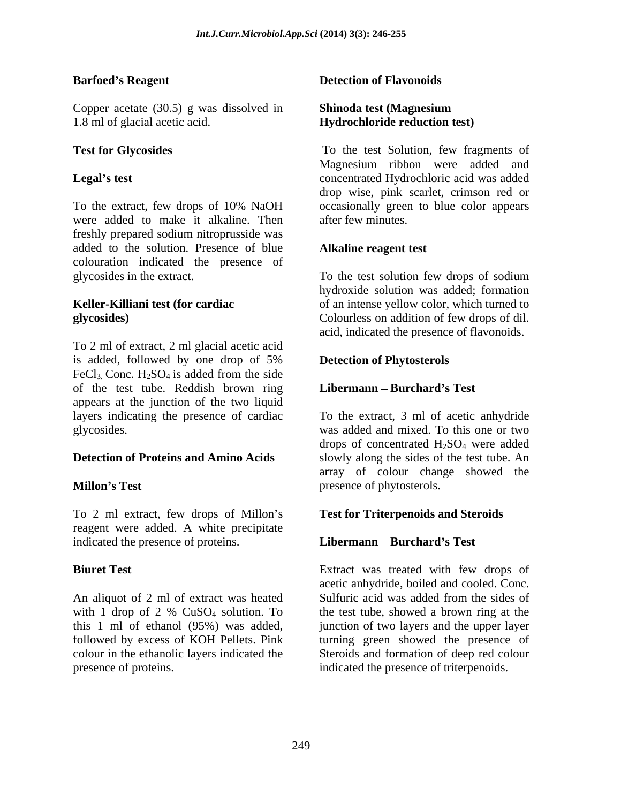Copper acetate (30.5) g was dissolved in 1.8 ml of glacial acetic acid. **Hydrochloride reduction test)** 

were added to make it alkaline. Then freshly prepared sodium nitroprusside was added to the solution. Presence of blue colouration indicated the presence of glycosides in the extract. To the test solution few drops of sodium

To 2 ml of extract, 2 ml glacial acetic acid is added, followed by one drop of 5% **Detection of Phytosterols** FeCl<sub>3</sub>. Conc.  $H_2SO_4$  is added from the side of the test tube. Reddish brown ring appears at the junction of the two liquid layers indicating the presence of cardiac glycosides. was added and mixed. To this one or two

To 2 ml extract, few drops of Millon's reagent were added. A white precipitate indicated the presence of proteins. **Libermann** – **Burchard's Test** 

An aliquot of 2 ml of extract was heated Sulfuric acid was added from the sides of presence of proteins. The indicated the presence of triterpenoids.

### **Barfoed's Reagent Conserverse Exercise Serverse Detection of Flavonoids Detection of Flavonoids**

# **Shinoda test (Magnesium**

**Test for Glycosides** To the test Solution, few fragments of **Legal's test concentrated Hydrochloric acid was added** To the extract, few drops of 10% NaOH occasionally green to blue color appears Magnesium ribbon were added and drop wise, pink scarlet, crimson red or after few minutes.

### **Alkaline reagent test**

**Keller-Killiani test (for cardiac**  of an intense yellow color, which turned to **glycosides)**  Colourless on addition of few drops of dil. hydroxide solution was added; formation acid, indicated the presence of flavonoids.

### **Detection of Phytosterols**

### **Libermann Burchard s Test**

**Detection of Proteins and Amino Acids** slowly along the sides of the test tube. An **Millon's Test** example and the presence of phytosterols. To the extract, 3 ml of acetic anhydride drops of concentrated  $H_2SO_4$  were added array of colour change showed the presence of phytosterols.

### **Test for Triterpenoids and Steroids**

### **Libermann Burchard s Test**

**Biuret Test**  Extract was treated with few drops of with 1 drop of 2 %  $CuSO<sub>4</sub>$  solution. To the test tube, showed a brown ring at the this 1 ml of ethanol (95%) was added, junction of two layers and the upper layer followed by excess of KOH Pellets. Pink turning green showed the presence of colour in the ethanolic layers indicated the Steroids and formation of deep red colour acetic anhydride, boiled and cooled. Conc. Sulfuric acid was added from the sides of the test tube, showed a brown ring at the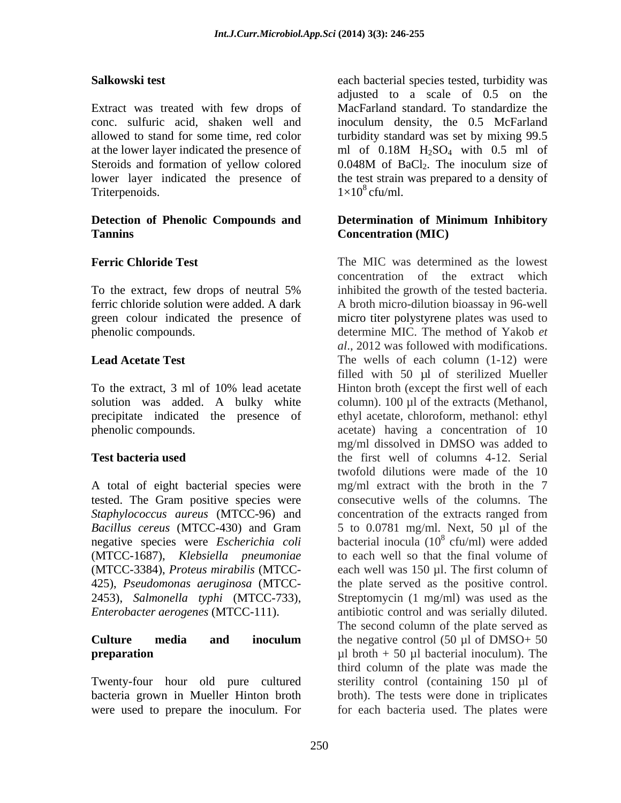Extract was treated with few drops of at the lower layer indicated the presence of  $ml$  of 0.18M  $H<sub>2</sub>SO<sub>4</sub>$  with 0.5 ml of Steroids and formation of yellow colored 0.048M of BaCl<sub>2</sub>. The inoculum size of Triterpenoids.  $1 \times 10^8$  cfu/ml.

### **Detection of Phenolic Compounds and Determination of Minimum Inhibitory Tannins Concentration (MIC)**

precipitate indicated the presence of

tested. The Gram positive species were *Staphylococcus aureus* (MTCC-96) and *Bacillus cereus* (MTCC-430) and Gram negative species were *Escherichia coli* (MTCC-1687), *Klebsiella pneumoniae*

Twenty-four hour old pure cultured were used to prepare the inoculum. For for each bacteria used. The plates were

Salkowski test **Salkowski** test **Exercice Selection** each bacterial species tested, turbidity was conc. sulfuric acid, shaken well and inoculum density, the 0.5 McFarland allowed to stand for some time, red color turbidity standard was set by mixing 99.5 lower layer indicated the presence of the test strain was prepared to a density of adjusted to a scale of 0.5 on the MacFarland standard. To standardize the ml of  $0.18M$  H<sub>2</sub>SO<sub>4</sub> with  $0.5$  ml of  $0.048M$  of BaCl<sub>2</sub>. The inoculum size of  $1\times10^8$  cfu/ml. cfu/ml.

**Ferric Chloride Test**  The MIC was determined as the lowest To the extract, few drops of neutral 5% inhibited the growth of the tested bacteria. ferric chloride solution were added. A dark A broth micro-dilution bioassay in 96-well green colour indicated the presence of micro titer polystyrene plates was used to phenolic compounds. determine MIC. The method of Yakob *et*  **Lead Acetate Test**  The wells of each column (1-12) were To the extract, 3 ml of 10% lead acetate Hinton broth (except the first well of each solution was added. A bulky white column). 100 µl of the extracts (Methanol, phenolic compounds. acetate) having a concentration of 10 **Test bacteria used** the first well of columns 4-12. Serial A total of eight bacterial species were mg/ml extract with the broth in the 7 (MTCC-3384), *Proteus mirabilis* (MTCC- each well was 150 µl. The first column of 425), *Pseudomonas aeruginosa* (MTCC- the plate served as the positive control. 2453), *Salmonella typhi* (MTCC-733), Streptomycin (1 mg/ml) was used as the *Enterobacter aerogenes* (MTCC-111). antibiotic control and was serially diluted. **Culture media and inoculum** the negative control (50 µl of DMSO+ 50 **preparation**  $\mu$ l broth + 50  $\mu$ l bacterial inoculum). The bacteria grown in Mueller Hinton broth broth). The tests were done in triplicates concentration of the extract which inhibited the growth of the tested bacteria. *al*., 2012 was followed with modifications. filled with 50 µl of sterilized Mueller ethyl acetate, chloroform, methanol: ethyl mg/ml dissolved in DMSO was added to twofold dilutions were made of the 10 consecutive wells of the columns. The concentration of the extracts ranged from 5 to 0.0781 mg/ml. Next, 50 µl of the bacterial inocula  $(10^8 \text{ cfu/ml})$  were added  $\frac{8 \text{ of } u}{m}$  was added cfu/ml) were added to each well so that the final volume of The second column of the plate served as the negative control  $(50 \mu l \text{ of } DMSO+ 50)$ third column of the plate was made the sterility control (containing 150 µl of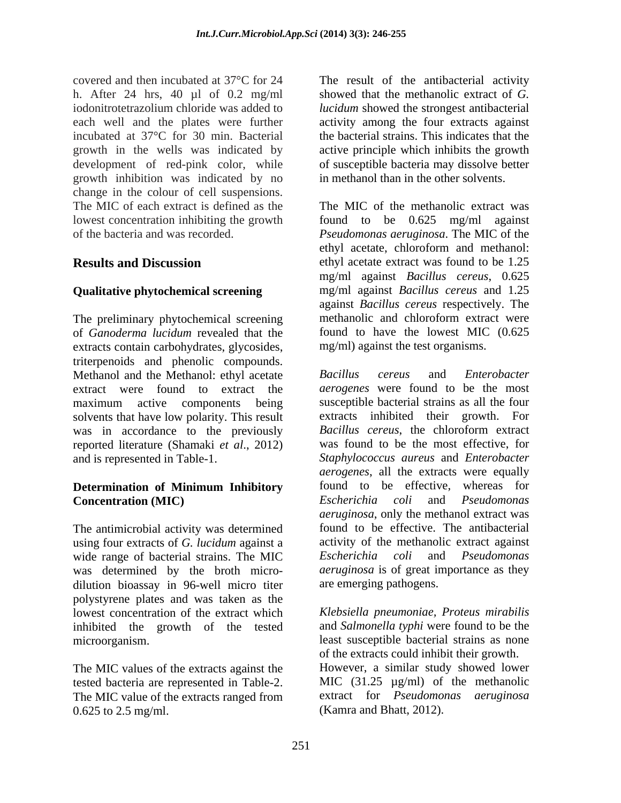covered and then incubated at 37°C for 24 The result of the antibacterial activity h. After 24 hrs, 40 µl of 0.2 mg/ml iodonitrotetrazolium chloride was added to *lucidum* showed the strongest antibacterial each well and the plates were further activity among the four extracts against incubated at 37°C for 30 min. Bacterial growth in the wells was indicated by development of red-pink color, while growth inhibition was indicated by no change in the colour of cell suspensions. The MIC of each extract is defined as the lowest concentration inhibiting the growth found to be 0.625 mg/ml against

of *Ganoderma lucidum* revealed that the extracts contain carbohydrates, glycosides, triterpenoids and phenolic compounds.<br>
Methanol and the Methanol: ethyl acetate Bacillus cereus and Enterobacter Methanol and the Methanol: ethyl acetate Bacillus cereus and maximum active components being solvents that have low polarity. This result was in accordance to the previously reported literature (Shamaki *et al*., 2012)

# **Concentration (MIC)** Escherichia coli and Pseudomonas

using four extracts of *G. lucidum* against a wide range of bacterial strains. The MIC Escherichia coli and Pseudomonas was determined by the broth micro dilution bioassay in 96-well micro titer polystyrene plates and was taken as the lowest concentration of the extract which *Klebsiella pneumoniae, Proteus mirabilis* inhibited the growth of the tested microorganism. least susceptible bacterial strains as none

The MIC values of the extracts against the tested bacteria are represented in Table-2. The MIC value of the extracts ranged from 0.625 to 2.5 mg/ml. (Kamra and Bhatt, 2012).

showed that the methanolic extract of *G.*  the bacterial strains. This indicates that the active principle which inhibits the growth of susceptible bacteria may dissolve better in methanol than in the other solvents.

of the bacteria and was recorded. *Pseudomonas aeruginosa*. The MIC of the **Results and Discussion** ethyl acetate extract was found to be 1.25 **Qualitative phytochemical screening** mg/ml against *Bacillus cereus* and 1.25 The preliminary phytochemical screening methanolic and chloroform extract were The MIC of the methanolic extract was found to be  $0.625$  mg/ml ethyl acetate, chloroform and methanol: mg/ml against *Bacillus cereus*, 0.625 against *Bacillus cereus* respectively. The methanolic and chloroform extract were found to have the lowest MIC (0.625 mg/ml) against the test organisms.

extract were found to extract the *aerogenes* were found to be the most and is represented in Table-1. *Staphylococcus aureus* and *Enterobacter*  **Determination of Minimum Inhibitory** The antimicrobial activity was determined found to be effective. The antibacterial *Bacillus cereus* and *Enterobacter*  susceptible bacterial strains as all the four extracts inhibited their growth. For *Bacillus cereus*, the chloroform extract was found to be the most effective, for *aerogenes*, all the extracts were equally found to be effective, whereas for *Escherichia coli* and *Pseudomonas aeruginosa*, only the methanol extract was activity of the methanolic extract against *Escherichia coli* and *Pseudomonas aeruginosa* is of great importance as they are emerging pathogens.

> and *Salmonella typhi* were found to be the of the extracts could inhibit their growth. However, a similar study showed lower MIC (31.25  $\mu$ g/ml) of the methanolic extract for *Pseudomonas aeruginosa*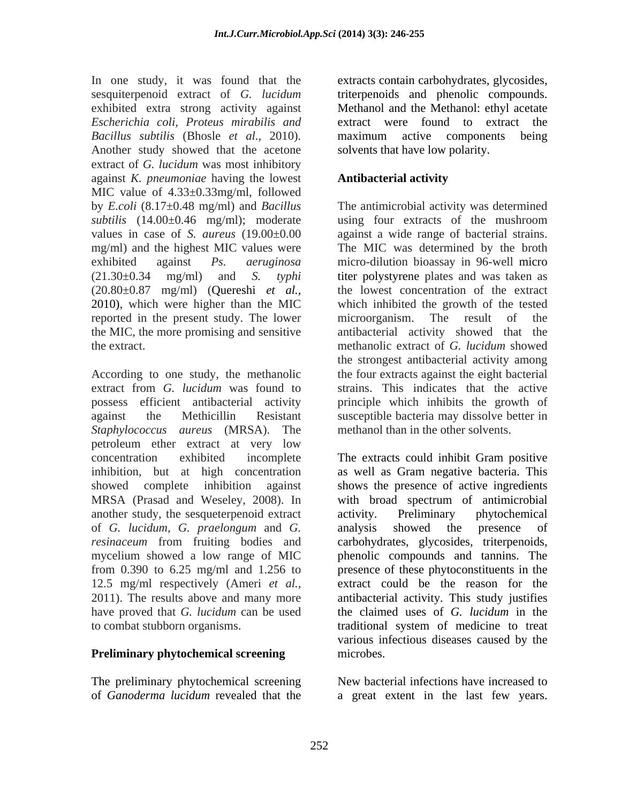In one study, it was found that the sesquiterpenoid extract of *G. lucidum* triterpenoids and phenolic compounds. exhibited extra strong activity against *Escherichia coli, Proteus mirabilis and Bacillus subtilis* (Bhosle *et al.,* 2010)*.* Another study showed that the acetone extract of *G. lucidum* was most inhibitory against *K. pneumoniae* having the lowest MIC value of 4.33±0.33mg/ml, followed by *E.coli* (8.17±0.48 mg/ml) and *Bacillus subtilis* (14.00±0.46 mg/ml); moderate using four extracts of the mushroom values in case of *S. aureus* (19.00±0.00 against a wide range of bacterial strains. mg/ml) and the highest MIC values were The MIC was determined by the broth exhibited against *Ps. aeruginosa* micro-dilution bioassay in 96-well micro (21.30±0.34 mg/ml) and *S. typhi* titer polystyrene plates and was taken as (20.80±0.87 mg/ml) (Quereshi *et al.,* the lowest concentration of the extract 2010), which were higher than the MIC reported in the present study. The lower microorganism. The result of the the MIC, the more promising and sensitive antibacterial activity showed that the the extract. The extract is the extract of G. *lucidum* showed

According to one study, the methanolic the four extracts against the eight bacterial extract from *G. lucidum* was found to strains. This indicates that the active possess efficient antibacterial activity principle which inhibits the growth of against the Methicillin Resistant susceptible bacteria may dissolve better in *Staphylococcus aureus* (MRSA). The petroleum ether extract at very low concentration exhibited incomplete inhibition, but at high concentration as well as Gram negative bacteria. This showed complete inhibition against shows the presence of active ingredients MRSA (Prasad and Weseley, 2008). In with broad spectrum of antimicrobial another study, the sesqueterpenoid extract of *G. lucidum, G. praelongum* and *G. resinaceum* from fruiting bodies and carbohydrates, glycosides, triterpenoids, mycelium showed a low range of MIC phenolic compounds and tannins. The from 0.390 to 6.25 mg/ml and 1.256 to presence of these phytoconstituents in the 12.5 mg/ml respectively (Ameri *et al.,* 2011). The results above and many more antibacterial activity. This study justifies have proved that *G. lucidum* can be used the claimed uses of *G. lucidum* in the

### **Preliminary phytochemical screening** microbes.

The preliminary phytochemical screening

extracts contain carbohydrates, glycosides, Methanol and the Methanol: ethyl acetate extract were found to extract maximum active components being solvents that have low polarity.

### **Antibacterial activity**

The antimicrobial activity was determined which inhibited the growth of the tested microorganism. The result of the methanolic extract of *G. lucidum* showed the strongest antibacterial activity among strains. This indicates that the active methanol than in the other solvents.

to combat stubborn organisms. traditional system of medicine to treat The extracts could inhibit Gram positive activity. Preliminary phytochemical analysis showed the presence of extract could be the reason for the various infectious diseases caused by the microbes.

of *Ganoderma lucidum* revealed that the a great extent in the last few years.New bacterial infections have increased to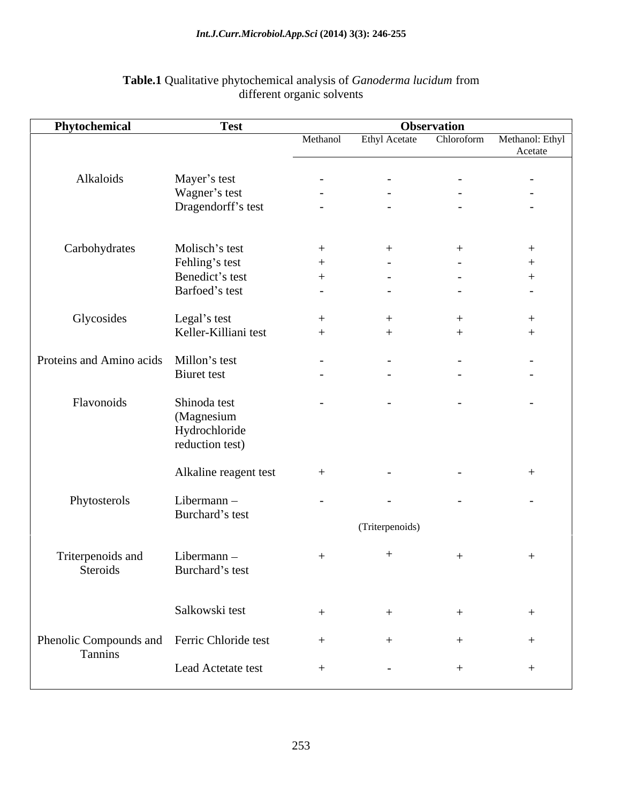| Phytochemical                               | Test                        | Observation                                     |                 |             |                                          |
|---------------------------------------------|-----------------------------|-------------------------------------------------|-----------------|-------------|------------------------------------------|
|                                             |                             | Methanol                                        |                 |             | Ethyl Acetate Chloroform Methanol: Ethyl |
|                                             |                             | the contract of the contract of the contract of |                 |             | Acetate                                  |
| Alkaloids                                   | Mayer's test                | $\sim$                                          |                 | $\sim$ $-$  | $\sim$ $ \sim$                           |
|                                             | Wagner's test               | $\sim$ $ \sim$                                  | $\sim$          | $\sim$ $ -$ | $\sim$ $ \sim$                           |
|                                             | Dragendorff's test          | $\sim$                                          |                 | $\sim$      | $\sim$                                   |
|                                             |                             |                                                 |                 |             |                                          |
|                                             |                             |                                                 |                 |             |                                          |
| Carbohydrates                               | Molisch's test              | $+$                                             |                 |             |                                          |
|                                             | Fehling's test              | $+$                                             | $\sim$ $-$      | $\sim 100$  | $+$                                      |
|                                             | Benedict's test             | $+$                                             |                 | $\sim$ $-$  | - 4                                      |
|                                             | Barfoed's test              | $\sim$                                          |                 | $\sim$      | $\sim$                                   |
|                                             |                             |                                                 |                 |             |                                          |
| Glycosides                                  | Legal's test                | $+$                                             |                 |             | $^{+}$                                   |
|                                             | Keller-Killiani test        | $+$                                             |                 |             |                                          |
|                                             |                             |                                                 |                 |             |                                          |
| Proteins and Amino acids Millon's test      |                             | $\sim$                                          |                 | $\sim$      | $\sim$ $ \sim$                           |
|                                             | <b>Biuret</b> test          | $\sim$                                          |                 | $\sim$      | $\sim$                                   |
| Flavonoids                                  | Shinoda test                |                                                 |                 |             |                                          |
|                                             |                             | $\sim$                                          |                 | $\sim$ $-$  | $\sim 100$ m $^{-1}$                     |
|                                             | (Magnesium<br>Hydrochloride |                                                 |                 |             |                                          |
|                                             | reduction test)             |                                                 |                 |             |                                          |
|                                             |                             |                                                 |                 |             |                                          |
|                                             | Alkaline reagent test       | $+$                                             |                 | $\sim$      | - 4                                      |
|                                             |                             |                                                 |                 |             |                                          |
| Phytosterols                                | Libermann -                 | $\sim$                                          | $\sim$          | $\sim$      | $\sim$ $-$                               |
|                                             | Burchard's test             |                                                 |                 |             |                                          |
|                                             |                             |                                                 | (Triterpenoids) |             |                                          |
|                                             |                             |                                                 |                 |             |                                          |
| Triterpenoids and                           | Libermann -                 | $+$                                             |                 | $^{+}$      | $+$                                      |
| Steroids                                    | Burchard's test             |                                                 |                 |             |                                          |
|                                             |                             |                                                 |                 |             |                                          |
|                                             |                             |                                                 |                 |             |                                          |
|                                             | Salkowski test              |                                                 |                 |             |                                          |
| Phenolic Compounds and Ferric Chloride test |                             |                                                 |                 |             |                                          |
| Tannins                                     |                             |                                                 |                 |             |                                          |
|                                             | Lead Actetate test          | $+$                                             | $\sim$ $-$      |             | $^{+}$                                   |
|                                             |                             |                                                 |                 |             |                                          |

### **Table.1** Qualitative phytochemical analysis of *Ganoderma lucidum* from different organic solvents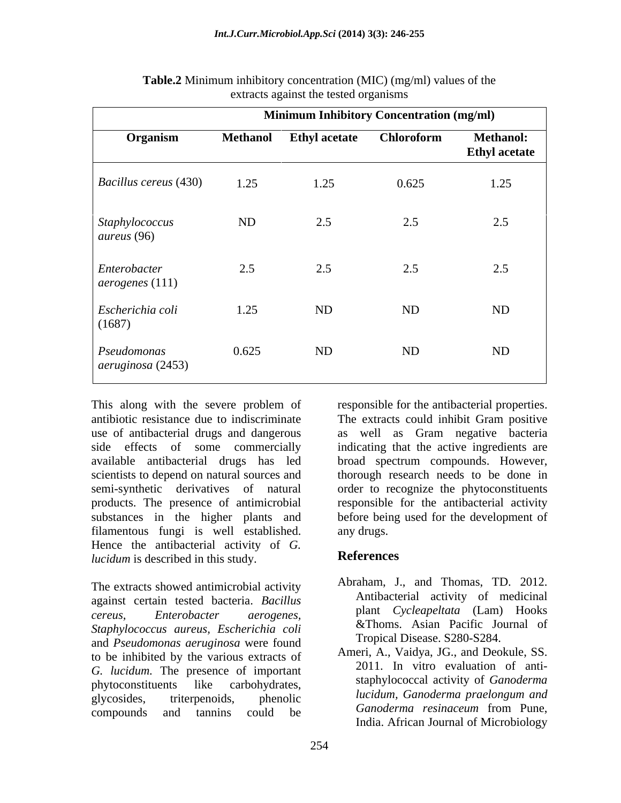|                                          | <b>Minimum Inhibitory Concentration (mg/ml)</b> |                      |                   |                                          |
|------------------------------------------|-------------------------------------------------|----------------------|-------------------|------------------------------------------|
| Organism                                 | <b>Methanol</b>                                 | <b>Ethyl acetate</b> | <b>Chloroform</b> | <b>Methanol:</b><br><b>Ethyl acetate</b> |
| <i>Bacillus cereus</i> (430)             | 1.25                                            | 1.25                 | 0.625             | 1.25                                     |
| Staphylococcus<br>aureus (96)            | ND                                              | 2.5                  | 2.5               | 2.5                                      |
| Enterobacter<br>$\alpha$ aerogenes (111) | 2.5                                             | 2.5                  | 2.5               | 2.5                                      |
| Escherichia coli<br>(1687)               | 1.25                                            | ND                   | ND                | ND                                       |
| Pseudomonas<br>aeruginosa (2453)         | 0.625                                           | ND                   | ND                | ND                                       |

| Table.2<br>$\Lambda$ (MIC)<br>$\tilde{m}$ ) (mg/ml) values of the<br>nhibitory concentration |  |
|----------------------------------------------------------------------------------------------|--|
| ts against the tested organisms<br><b>Au ac is</b>                                           |  |

This along with the severe problem of responsible for the antibacterial properties. antibiotic resistance due to indiscriminate use of antibacterial drugs and dangerous as well as Gram negative bacteria side effects of some commercially indicating that the active ingredients are available antibacterial drugs has led broad spectrum compounds. However, scientists to depend on natural sources and thorough research needs to be done in semi-synthetic derivatives of natural order to recognize the phytoconstituents products. The presence of antimicrobial substances in the higher plants and before being used for the development of filamentous fungi is well established. Hence the antibacterial activity of *G*.<br>*ducidum* is described in this study **References** *lucidum* is described in this study.

The extracts showed antimicrobial activity against certain tested bacteria. *Bacillus cereus, Enterobacter aerogenes,* plant *Cycleapeltata* (Lam) Hooks *Staphylococcus aureus, Escherichia coli*<br> **Staphylococcus** *aureus, Escherichia coli*<br> **Staphylococcus** *acruainesa* were found<br> **Staphylococcus** *arruainesa* were found<br> **Staphylococcus** *arruainesa* were found<br> **Staphyl** and *Pseudomonas aeruginosa* were found<br>to be inhibited by the verious extracts of Ameri, A., Vaidya, JG., and Deokule, SS. to be inhibited by the various extracts of *G. lucidum.* The presence of important phytoconstituents like carbohydrates, staphylococcal activity of *Ganoderma* **phytoconstituents** glycosides, triterpenoids, phenolic *uctum*, Ganoaerma-praetongum-ana

The extracts could inhibit Gram positive responsible for the antibacterial activity any drugs.

### **References**

- Abraham, J., and Thomas, TD. 2012. Antibacterial activity of medicinal &Thoms. Asian Pacific Journal of
- compounds and tannins could be be compounded to the compounds and tanning could be compounded to the contract of the contract of the contract of the contract of the contract of the contract of the contract of the contract Tropical Disease. S280-S284. Ameri, A., Vaidya, JG., and Deokule, SS. 2011. In vitro evaluation of anti *lucidum, Ganoderma praelongum and Ganoderma resinaceum* from Pune, India. African Journal of Microbiology